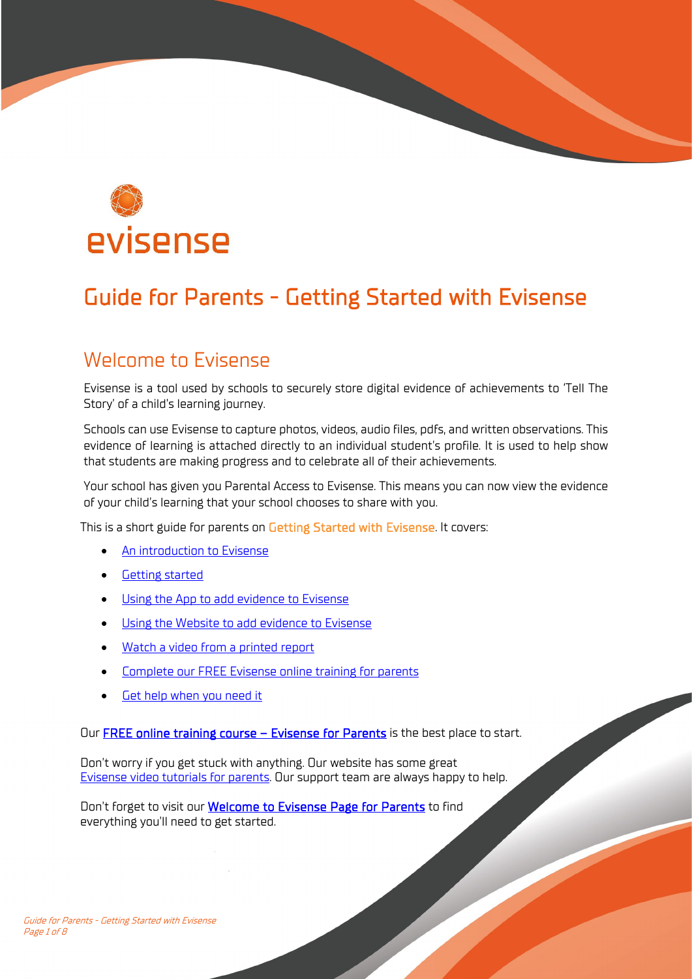

# Guide for Parents - Getting Started with Evisense

## Welcome to Evisense

Evisense is a tool used by schools to securely store digital evidence of achievements to 'Tell The Story' of a child's learning journey.

Schools can use Evisense to capture photos, videos, audio files, pdfs, and written observations. This evidence of learning is attached directly to an individual student's profile. It is used to help show that students are making progress and to celebrate all of their achievements.

Your school has given you Parental Access to Evisense. This means you can now view the evidence of your child's learning that your school chooses to share with you.

This is a short guide for parents on Getting Started with Evisense. It covers:

- [An introduction to Evisense](#page-1-0)
- [Getting started](#page-1-1)
- [Using the App to add evidence to Evisense](#page-3-0)
- [Using the Website to add evidence to Evisense](#page-6-0)
- [Watch a video from a printed report](#page-6-1)
- [Complete our FREE Evisense online training for parents](#page-6-2)
- [Get help when you need it](#page-7-0)

Our FREE online training course - Evisense for Parents is the best place to start.

Don't worry if you get stuck with anything. Our website has some great [Evisense video tutorials for parents.](https://www.evisense.com/category/parents/#utm_source=Evisense&utm_medium=UserGuide&utm_campaign=Parents) Our support team are always happy to help.

Don't forget to visit our **Welcome to Evisense Page for Parents** to find everything you'll need to get started.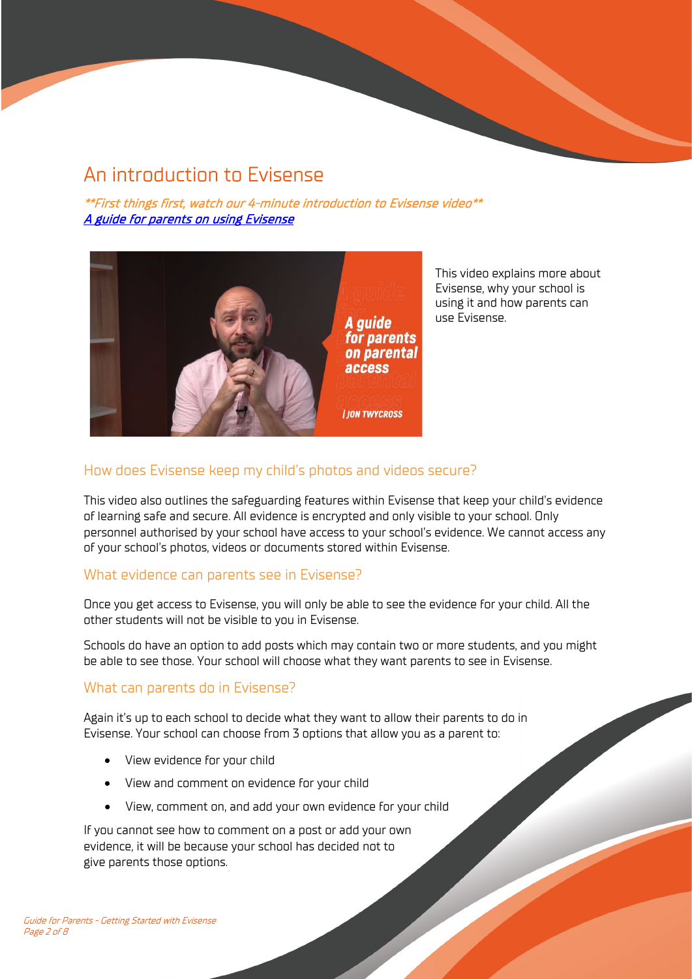# <span id="page-1-0"></span>An introduction to Evisense

\*\*First things first, watch our 4-minute introduction to Evisense video\*\* [A guide for parents on using Evisense](https://www.evisense.com/2020/09/30/a-guide-for-parents-on-using-evisense/#utm_source=Evisense&utm_medium=UserGuide&utm_campaign=Parents) 



This video explains more about Evisense, why your school is using it and how parents can use Evisense.

## How does Evisense keep my child's photos and videos secure?

This video also outlines the safeguarding features within Evisense that keep your child's evidence of learning safe and secure. All evidence is encrypted and only visible to your school. Only personnel authorised by your school have access to your school's evidence. We cannot access any of your school's photos, videos or documents stored within Evisense.

### What evidence can parents see in Evisense?

Once you get access to Evisense, you will only be able to see the evidence for your child. All the other students will not be visible to you in Evisense.

Schools do have an option to add posts which may contain two or more students, and you might be able to see those. Your school will choose what they want parents to see in Evisense.

### What can parents do in Evisense?

Again it's up to each school to decide what they want to allow their parents to do in Evisense. Your school can choose from 3 options that allow you as a parent to:

- View evidence for your child
- View and comment on evidence for your child
- <span id="page-1-1"></span>• View, comment on, and add your own evidence for your child

If you cannot see how to comment on a post or add your own evidence, it will be because your school has decided not to give parents those options.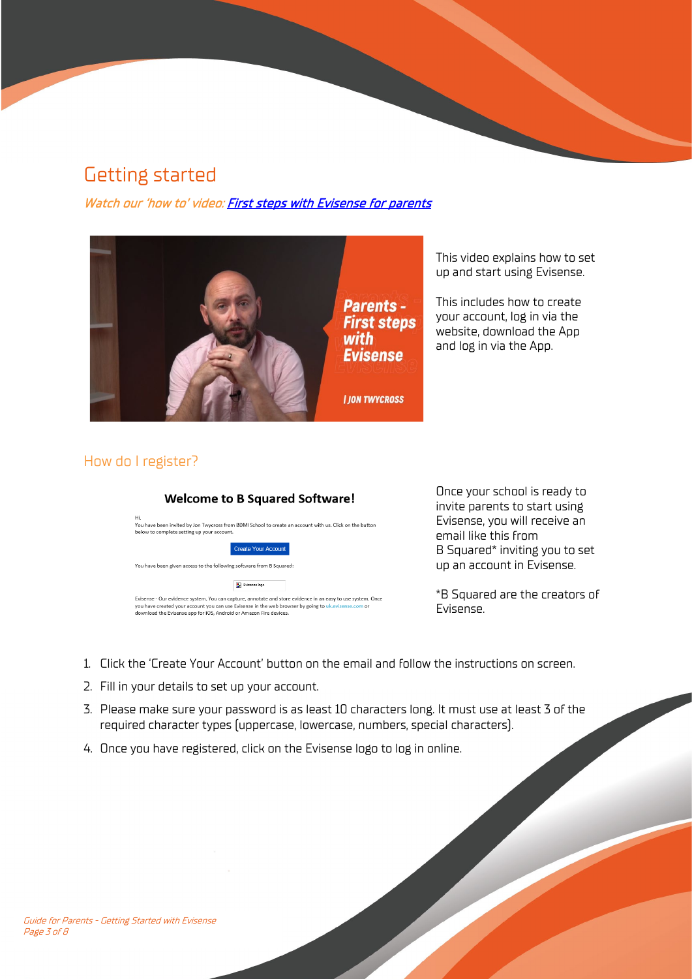# Getting started

Watch our 'how to' video: [First steps with Evisense for parents](https://www.evisense.com/2020/09/30/first-steps-with-evisense-for-parents/#utm_source=Evisense&utm_medium=UserGuide&utm_campaign=Parents)



This video explains how to set up and start using Evisense.

This includes how to create your account, log in via the website, download the App and log in via the App.

## How do I register?



Once your school is ready to invite parents to start using Evisense, you will receive an email like this from B Squared\* inviting you to set up an account in Evisense.

\*B Squared are the creators of Evisense.

- 1. Click the 'Create Your Account' button on the email and follow the instructions on screen.
- 2. Fill in your details to set up your account.
- 3. Please make sure your password is as least 10 characters long. It must use at least 3 of the required character types (uppercase, lowercase, numbers, special characters).
- 4. Once you have registered, click on the Evisense logo to log in online.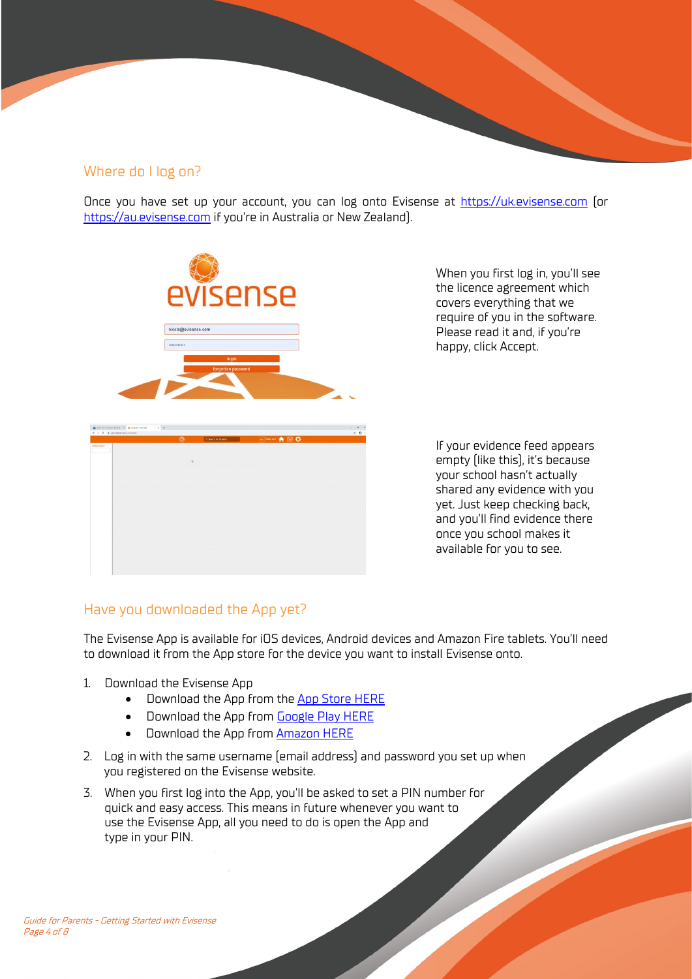#### Where do I log on?

Once you have set up your account, you can log onto Evisense at [https://uk.evisense.com](https://uk.evisense.com/) (or [https://au.evisense.com](https://au.evisense.com/) if you're in Australia or New Zealand).



When you first log in, you'll see the licence agreement which covers everything that we require of you in the software. Please read it and, if you're happy, click Accept.

If your evidence feed appears empty (like this), it's because your school hasn't actually shared any evidence with you yet. Just keep checking back, and you'll find evidence there once you school makes it available for you to see.

#### Have you downloaded the App yet?

The Evisense App is available for iOS devices, Android devices and Amazon Fire tablets. You'll need to download it from the App store for the device you want to install Evisense onto.

- 1. Download the Evisense App
	- Download the App from the [App Store HERE](https://apps.apple.com/gb/developer/b-squared/id689172373)
	- Download the App from **Google Play HERE**
	- Download the App from [Amazon HERE](https://www.amazon.co.uk/gp/product/B01LM5BBKE)
- 2. Log in with the same username (email address) and password you set up when you registered on the Evisense website.
- <span id="page-3-0"></span>3. When you first log into the App, you'll be asked to set a PIN number for quick and easy access. This means in future whenever you want to use the Evisense App, all you need to do is open the App and type in your PIN.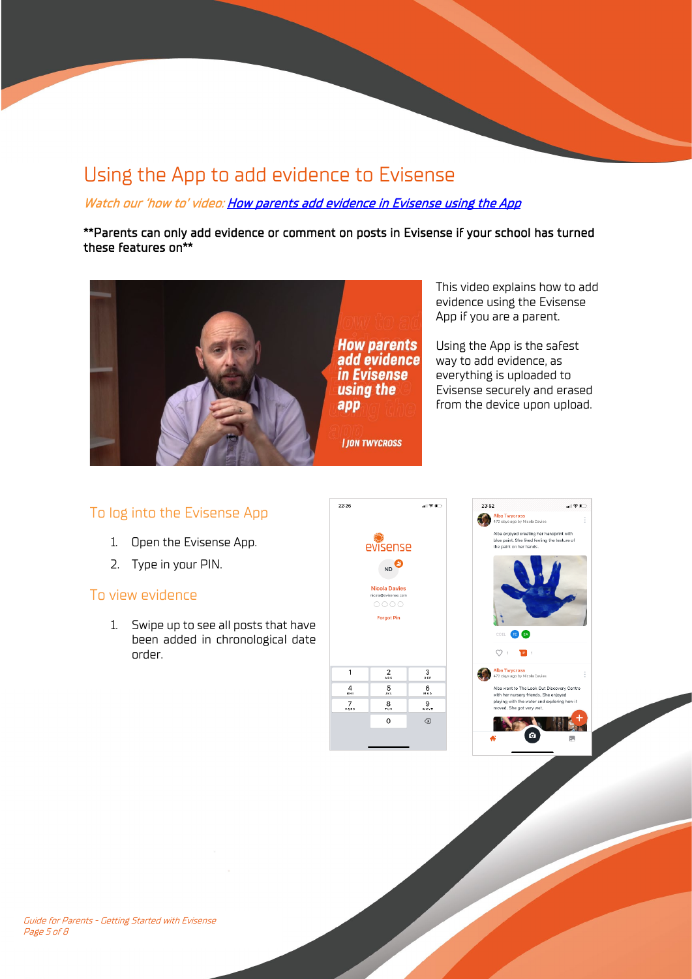## Using the App to add evidence to Evisense

Watch our 'how to' video: How parents add evidence in Evisense using the App

\*\*Parents can only add evidence or comment on posts in Evisense if your school has turned these features on\*\*



This video explains how to add evidence using the Evisense App if you are a parent.

Using the App is the safest way to add evidence, as everything is uploaded to Evisense securely and erased from the device upon upload.

### To log into the Evisense App

- 1. Open the Evisense App.
- 2. Type in your PIN.

#### To view evidence

1. Swipe up to see all posts that have been added in chronological date order.





B.

Guide for Parents - Getting Started with Evisense Page 5 of 8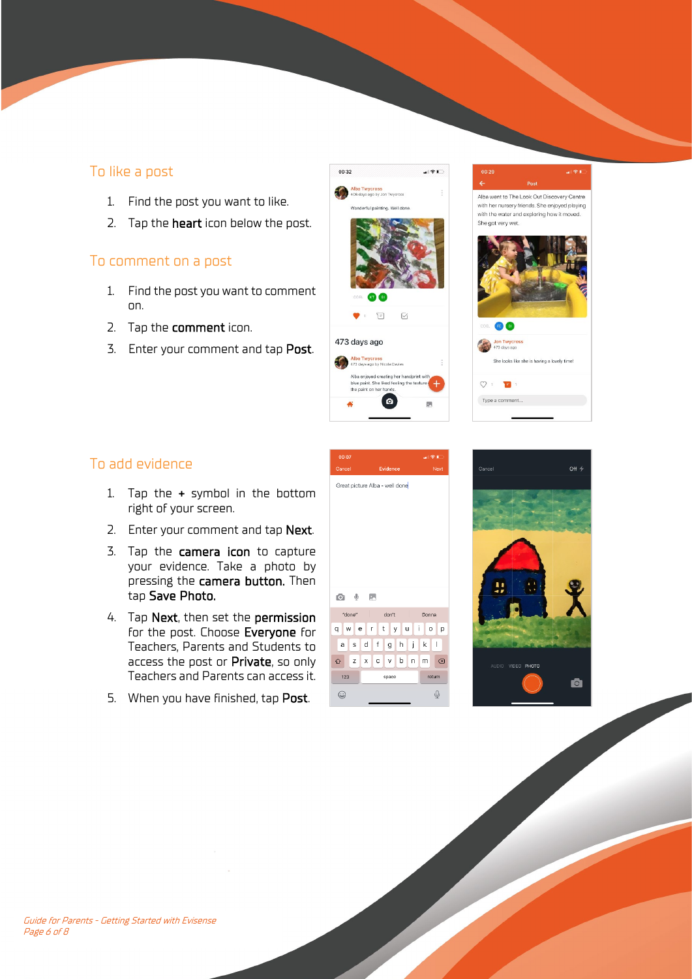## To like a post

- 1. Find the post you want to like.
- 2. Tap the **heart** icon below the post.

## To comment on a post

- 1. Find the post you want to comment on.
- 2. Tap the comment icon.
- 3. Enter your comment and tap Post.



Alba went to The Look Out Discovery Centre with her nursery friends. She enjoyed playing with the water and exploring how it moved She got very wet.



## To add evidence

- 1. Tap the + symbol in the bottom right of your screen.
- 2. Enter your comment and tap Next.
- 3. Tap the camera icon to capture your evidence. Take a photo by pressing the camera button. Then tap Save Photo.
- 4. Tap Next, then set the permission for the post. Choose Everyone for Teachers, Parents and Students to access the post or Private, so only Teachers and Parents can access it.
- 5. When you have finished, tap Post.



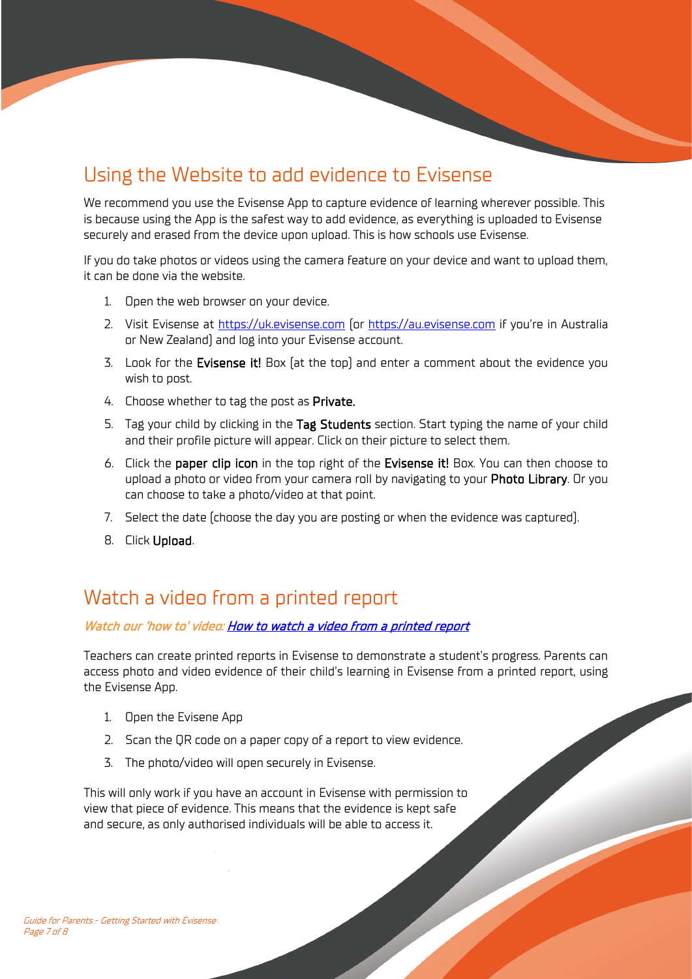# <span id="page-6-0"></span>Using the Website to add evidence to Evisense

We recommend you use the Evisense App to capture evidence of learning wherever possible. This is because using the App is the safest way to add evidence, as everything is uploaded to Evisense securely and erased from the device upon upload. This is how schools use Evisense.

If you do take photos or videos using the camera feature on your device and want to upload them, it can be done via the website.

- 1. Open the web browser on your device.
- 2. Visit Evisense at [https://uk.evisense.com](https://uk.evisense.com/) (or [https://au.evisense.com](https://au.evisense.com/) if you're in Australia or New Zealand) and log into your Evisense account.
- 3. Look for the Evisense it! Box (at the top) and enter a comment about the evidence you wish to post.
- 4. Choose whether to tag the post as Private.
- 5. Tag your child by clicking in the Tag Students section. Start typing the name of your child and their profile picture will appear. Click on their picture to select them.
- 6. Click the paper clip icon in the top right of the Evisense it! Box. You can then choose to upload a photo or video from your camera roll by navigating to your Photo Library. Or you can choose to take a photo/video at that point.
- 7. Select the date (choose the day you are posting or when the evidence was captured).
- 8. Click Upload.

## <span id="page-6-1"></span>Watch a video from a printed report

#### Watch our 'how to' video: [How to watch a video from a printed report](https://www.evisense.com/2020/11/11/how-to-watch-a-video-from-a-printed-evisense-report/#utm_source=Evisense&utm_medium=UserGuide&utm_campaign=Parents)

Teachers can create printed reports in Evisense to demonstrate a student's progress. Parents can access photo and video evidence of their child's learning in Evisense from a printed report, using the Evisense App.

- 1. Open the Evisene App
- 2. Scan the QR code on a paper copy of a report to view evidence.
- 3. The photo/video will open securely in Evisense.

<span id="page-6-2"></span>This will only work if you have an account in Evisense with permission to view that piece of evidence. This means that the evidence is kept safe and secure, as only authorised individuals will be able to access it.